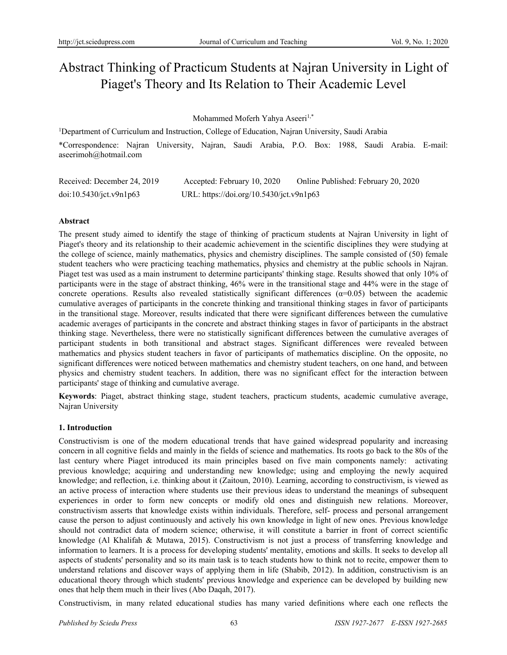# Abstract Thinking of Practicum Students at Najran University in Light of Piaget's Theory and Its Relation to Their Academic Level

Mohammed Moferh Yahya Aseeri<sup>1,\*</sup>

<sup>1</sup>Department of Curriculum and Instruction, College of Education, Najran University, Saudi Arabia \*Correspondence: Najran University, Najran, Saudi Arabia, P.O. Box: 1988, Saudi Arabia. E-mail: aseerimoh@hotmail.com

| Received: December 24, 2019 | Accepted: February 10, 2020              | Online Published: February 20, 2020 |
|-----------------------------|------------------------------------------|-------------------------------------|
| doi:10.5430/jct.v9n1p63     | URL: https://doi.org/10.5430/jct.v9n1p63 |                                     |

#### **Abstract**

The present study aimed to identify the stage of thinking of practicum students at Najran University in light of Piaget's theory and its relationship to their academic achievement in the scientific disciplines they were studying at the college of science, mainly mathematics, physics and chemistry disciplines. The sample consisted of (50) female student teachers who were practicing teaching mathematics, physics and chemistry at the public schools in Najran. Piaget test was used as a main instrument to determine participants' thinking stage. Results showed that only 10% of participants were in the stage of abstract thinking, 46% were in the transitional stage and 44% were in the stage of concrete operations. Results also revealed statistically significant differences  $(\alpha=0.05)$  between the academic cumulative averages of participants in the concrete thinking and transitional thinking stages in favor of participants in the transitional stage. Moreover, results indicated that there were significant differences between the cumulative academic averages of participants in the concrete and abstract thinking stages in favor of participants in the abstract thinking stage. Nevertheless, there were no statistically significant differences between the cumulative averages of participant students in both transitional and abstract stages. Significant differences were revealed between mathematics and physics student teachers in favor of participants of mathematics discipline. On the opposite, no significant differences were noticed between mathematics and chemistry student teachers, on one hand, and between physics and chemistry student teachers. In addition, there was no significant effect for the interaction between participants' stage of thinking and cumulative average.

**Keywords**: Piaget, abstract thinking stage, student teachers, practicum students, academic cumulative average, Najran University

#### **1. Introduction**

Constructivism is one of the modern educational trends that have gained widespread popularity and increasing concern in all cognitive fields and mainly in the fields of science and mathematics. Its roots go back to the 80s of the last century where Piaget introduced its main principles based on five main components namely: activating previous knowledge; acquiring and understanding new knowledge; using and employing the newly acquired knowledge; and reflection, i.e. thinking about it (Zaitoun, 2010). Learning, according to constructivism, is viewed as an active process of interaction where students use their previous ideas to understand the meanings of subsequent experiences in order to form new concepts or modify old ones and distinguish new relations. Moreover, constructivism asserts that knowledge exists within individuals. Therefore, self- process and personal arrangement cause the person to adjust continuously and actively his own knowledge in light of new ones. Previous knowledge should not contradict data of modern science; otherwise, it will constitute a barrier in front of correct scientific knowledge (Al Khalifah & Mutawa, 2015). Constructivism is not just a process of transferring knowledge and information to learners. It is a process for developing students' mentality, emotions and skills. It seeks to develop all aspects of students' personality and so its main task is to teach students how to think not to recite, empower them to understand relations and discover ways of applying them in life (Shabib, 2012). In addition, constructivism is an educational theory through which students' previous knowledge and experience can be developed by building new ones that help them much in their lives (Abo Daqah, 2017).

Constructivism, in many related educational studies has many varied definitions where each one reflects the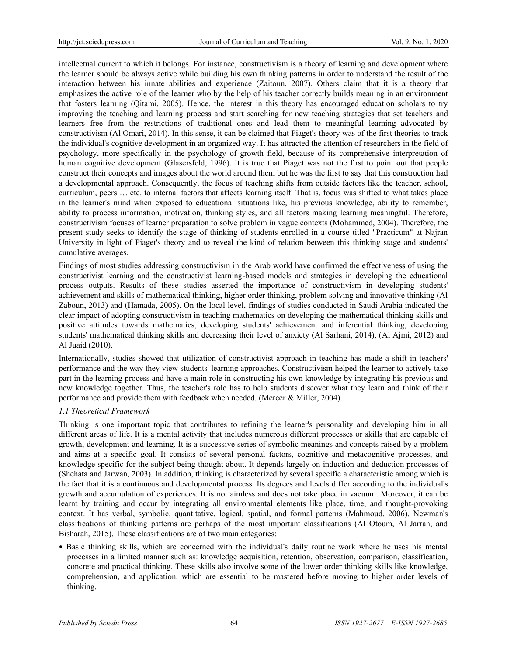intellectual current to which it belongs. For instance, constructivism is a theory of learning and development where the learner should be always active while building his own thinking patterns in order to understand the result of the interaction between his innate abilities and experience (Zaitoun, 2007). Others claim that it is a theory that emphasizes the active role of the learner who by the help of his teacher correctly builds meaning in an environment that fosters learning (Qitami, 2005). Hence, the interest in this theory has encouraged education scholars to try improving the teaching and learning process and start searching for new teaching strategies that set teachers and learners free from the restrictions of traditional ones and lead them to meaningful learning advocated by constructivism (Al Omari, 2014). In this sense, it can be claimed that Piaget's theory was of the first theories to track the individual's cognitive development in an organized way. It has attracted the attention of researchers in the field of psychology, more specifically in the psychology of growth field, because of its comprehensive interpretation of human cognitive development (Glasersfeld, 1996). It is true that Piaget was not the first to point out that people construct their concepts and images about the world around them but he was the first to say that this construction had a developmental approach. Consequently, the focus of teaching shifts from outside factors like the teacher, school, curriculum, peers … etc. to internal factors that affects learning itself. That is, focus was shifted to what takes place in the learner's mind when exposed to educational situations like, his previous knowledge, ability to remember, ability to process information, motivation, thinking styles, and all factors making learning meaningful. Therefore, constructivism focuses of learner preparation to solve problem in vague contexts (Mohammed, 2004). Therefore, the present study seeks to identify the stage of thinking of students enrolled in a course titled "Practicum" at Najran University in light of Piaget's theory and to reveal the kind of relation between this thinking stage and students' cumulative averages.

Findings of most studies addressing constructivism in the Arab world have confirmed the effectiveness of using the constructivist learning and the constructivist learning-based models and strategies in developing the educational process outputs. Results of these studies asserted the importance of constructivism in developing students' achievement and skills of mathematical thinking, higher order thinking, problem solving and innovative thinking (Al Zaboun, 2013) and (Hamada, 2005). On the local level, findings of studies conducted in Saudi Arabia indicated the clear impact of adopting constructivism in teaching mathematics on developing the mathematical thinking skills and positive attitudes towards mathematics, developing students' achievement and inferential thinking, developing students' mathematical thinking skills and decreasing their level of anxiety (Al Sarhani, 2014), (Al Ajmi, 2012) and Al Juaid (2010).

Internationally, studies showed that utilization of constructivist approach in teaching has made a shift in teachers' performance and the way they view students' learning approaches. Constructivism helped the learner to actively take part in the learning process and have a main role in constructing his own knowledge by integrating his previous and new knowledge together. Thus, the teacher's role has to help students discover what they learn and think of their performance and provide them with feedback when needed. (Mercer & Miller, 2004).

#### *1.1 Theoretical Framework*

Thinking is one important topic that contributes to refining the learner's personality and developing him in all different areas of life. It is a mental activity that includes numerous different processes or skills that are capable of growth, development and learning. It is a successive series of symbolic meanings and concepts raised by a problem and aims at a specific goal. It consists of several personal factors, cognitive and metacognitive processes, and knowledge specific for the subject being thought about. It depends largely on induction and deduction processes of (Shehata and Jarwan, 2003). In addition, thinking is characterized by several specific a characteristic among which is the fact that it is a continuous and developmental process. Its degrees and levels differ according to the individual's growth and accumulation of experiences. It is not aimless and does not take place in vacuum. Moreover, it can be learnt by training and occur by integrating all environmental elements like place, time, and thought-provoking context. It has verbal, symbolic, quantitative, logical, spatial, and formal patterns (Mahmoud, 2006). Newman's classifications of thinking patterns are perhaps of the most important classifications (Al Otoum, Al Jarrah, and Bisharah, 2015). These classifications are of two main categories:

• Basic thinking skills, which are concerned with the individual's daily routine work where he uses his mental processes in a limited manner such as: knowledge acquisition, retention, observation, comparison, classification, concrete and practical thinking. These skills also involve some of the lower order thinking skills like knowledge, comprehension, and application, which are essential to be mastered before moving to higher order levels of thinking.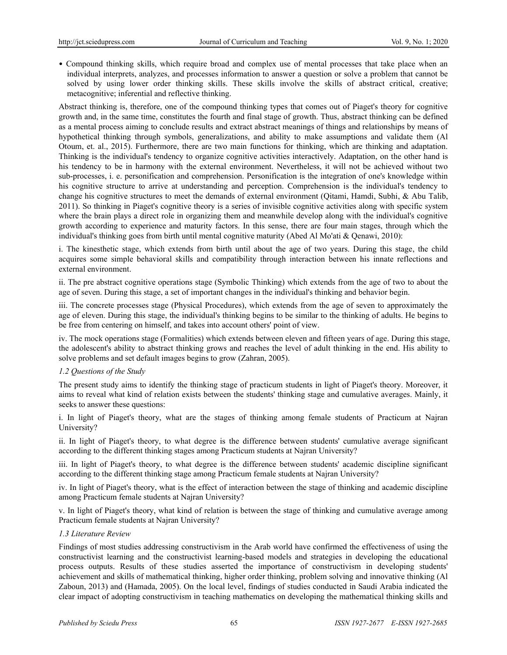• Compound thinking skills, which require broad and complex use of mental processes that take place when an individual interprets, analyzes, and processes information to answer a question or solve a problem that cannot be solved by using lower order thinking skills. These skills involve the skills of abstract critical, creative; metacognitive; inferential and reflective thinking.

Abstract thinking is, therefore, one of the compound thinking types that comes out of Piaget's theory for cognitive growth and, in the same time, constitutes the fourth and final stage of growth. Thus, abstract thinking can be defined as a mental process aiming to conclude results and extract abstract meanings of things and relationships by means of hypothetical thinking through symbols, generalizations, and ability to make assumptions and validate them (Al Otoum, et. al., 2015). Furthermore, there are two main functions for thinking, which are thinking and adaptation. Thinking is the individual's tendency to organize cognitive activities interactively. Adaptation, on the other hand is his tendency to be in harmony with the external environment. Nevertheless, it will not be achieved without two sub-processes, i. e. personification and comprehension. Personification is the integration of one's knowledge within his cognitive structure to arrive at understanding and perception. Comprehension is the individual's tendency to change his cognitive structures to meet the demands of external environment (Qitami, Hamdi, Subhi, & Abu Talib, 2011). So thinking in Piaget's cognitive theory is a series of invisible cognitive activities along with specific system where the brain plays a direct role in organizing them and meanwhile develop along with the individual's cognitive growth according to experience and maturity factors. In this sense, there are four main stages, through which the individual's thinking goes from birth until mental cognitive maturity (Abed Al Mo'ati & Qenawi, 2010):

i. The kinesthetic stage, which extends from birth until about the age of two years. During this stage, the child acquires some simple behavioral skills and compatibility through interaction between his innate reflections and external environment.

ii. The pre abstract cognitive operations stage (Symbolic Thinking) which extends from the age of two to about the age of seven. During this stage, a set of important changes in the individual's thinking and behavior begin.

iii. The concrete processes stage (Physical Procedures), which extends from the age of seven to approximately the age of eleven. During this stage, the individual's thinking begins to be similar to the thinking of adults. He begins to be free from centering on himself, and takes into account others' point of view.

iv. The mock operations stage (Formalities) which extends between eleven and fifteen years of age. During this stage, the adolescent's ability to abstract thinking grows and reaches the level of adult thinking in the end. His ability to solve problems and set default images begins to grow (Zahran, 2005).

#### *1.2 Questions of the Study*

The present study aims to identify the thinking stage of practicum students in light of Piaget's theory. Moreover, it aims to reveal what kind of relation exists between the students' thinking stage and cumulative averages. Mainly, it seeks to answer these questions:

i. In light of Piaget's theory, what are the stages of thinking among female students of Practicum at Najran University?

ii. In light of Piaget's theory, to what degree is the difference between students' cumulative average significant according to the different thinking stages among Practicum students at Najran University?

iii. In light of Piaget's theory, to what degree is the difference between students' academic discipline significant according to the different thinking stage among Practicum female students at Najran University?

iv. In light of Piaget's theory, what is the effect of interaction between the stage of thinking and academic discipline among Practicum female students at Najran University?

v. In light of Piaget's theory, what kind of relation is between the stage of thinking and cumulative average among Practicum female students at Najran University?

#### *1.3 Literature Review*

Findings of most studies addressing constructivism in the Arab world have confirmed the effectiveness of using the constructivist learning and the constructivist learning-based models and strategies in developing the educational process outputs. Results of these studies asserted the importance of constructivism in developing students' achievement and skills of mathematical thinking, higher order thinking, problem solving and innovative thinking (Al Zaboun, 2013) and (Hamada, 2005). On the local level, findings of studies conducted in Saudi Arabia indicated the clear impact of adopting constructivism in teaching mathematics on developing the mathematical thinking skills and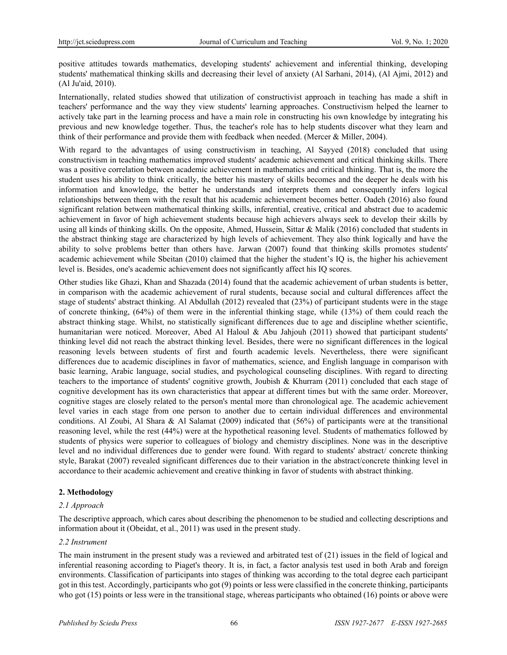positive attitudes towards mathematics, developing students' achievement and inferential thinking, developing students' mathematical thinking skills and decreasing their level of anxiety (Al Sarhani, 2014), (Al Ajmi, 2012) and (Al Ju'aid, 2010).

Internationally, related studies showed that utilization of constructivist approach in teaching has made a shift in teachers' performance and the way they view students' learning approaches. Constructivism helped the learner to actively take part in the learning process and have a main role in constructing his own knowledge by integrating his previous and new knowledge together. Thus, the teacher's role has to help students discover what they learn and think of their performance and provide them with feedback when needed. (Mercer & Miller, 2004).

With regard to the advantages of using constructivism in teaching, Al Sayyed (2018) concluded that using constructivism in teaching mathematics improved students' academic achievement and critical thinking skills. There was a positive correlation between academic achievement in mathematics and critical thinking. That is, the more the student uses his ability to think critically, the better his mastery of skills becomes and the deeper he deals with his information and knowledge, the better he understands and interprets them and consequently infers logical relationships between them with the result that his academic achievement becomes better. Oadeh (2016) also found significant relation between mathematical thinking skills, inferential, creative, critical and abstract due to academic achievement in favor of high achievement students because high achievers always seek to develop their skills by using all kinds of thinking skills. On the opposite, Ahmed, Hussein, Sittar & Malik (2016) concluded that students in the abstract thinking stage are characterized by high levels of achievement. They also think logically and have the ability to solve problems better than others have. Jarwan (2007) found that thinking skills promotes students' academic achievement while Sbeitan (2010) claimed that the higher the student's IQ is, the higher his achievement level is. Besides, one's academic achievement does not significantly affect his IQ scores.

Other studies like Ghazi, Khan and Shazada (2014) found that the academic achievement of urban students is better, in comparison with the academic achievement of rural students, because social and cultural differences affect the stage of students' abstract thinking. Al Abdullah (2012) revealed that (23%) of participant students were in the stage of concrete thinking, (64%) of them were in the inferential thinking stage, while (13%) of them could reach the abstract thinking stage. Whilst, no statistically significant differences due to age and discipline whether scientific, humanitarian were noticed. Moreover, Abed Al Haloul & Abu Jahjouh (2011) showed that participant students' thinking level did not reach the abstract thinking level. Besides, there were no significant differences in the logical reasoning levels between students of first and fourth academic levels. Nevertheless, there were significant differences due to academic disciplines in favor of mathematics, science, and English language in comparison with basic learning, Arabic language, social studies, and psychological counseling disciplines. With regard to directing teachers to the importance of students' cognitive growth, Joubish & Khurram (2011) concluded that each stage of cognitive development has its own characteristics that appear at different times but with the same order. Moreover, cognitive stages are closely related to the person's mental more than chronological age. The academic achievement level varies in each stage from one person to another due to certain individual differences and environmental conditions. Al Zoubi, Al Shara & Al Salamat (2009) indicated that (56%) of participants were at the transitional reasoning level, while the rest (44%) were at the hypothetical reasoning level. Students of mathematics followed by students of physics were superior to colleagues of biology and chemistry disciplines. None was in the descriptive level and no individual differences due to gender were found. With regard to students' abstract/ concrete thinking style, Barakat (2007) revealed significant differences due to their variation in the abstract/concrete thinking level in accordance to their academic achievement and creative thinking in favor of students with abstract thinking.

#### **2. Methodology**

#### *2.1 Approach*

The descriptive approach, which cares about describing the phenomenon to be studied and collecting descriptions and information about it (Obeidat, et al., 2011) was used in the present study.

#### *2.2 Instrument*

The main instrument in the present study was a reviewed and arbitrated test of (21) issues in the field of logical and inferential reasoning according to Piaget's theory. It is, in fact, a factor analysis test used in both Arab and foreign environments. Classification of participants into stages of thinking was according to the total degree each participant got in this test. Accordingly, participants who got (9) points or less were classified in the concrete thinking, participants who got (15) points or less were in the transitional stage, whereas participants who obtained (16) points or above were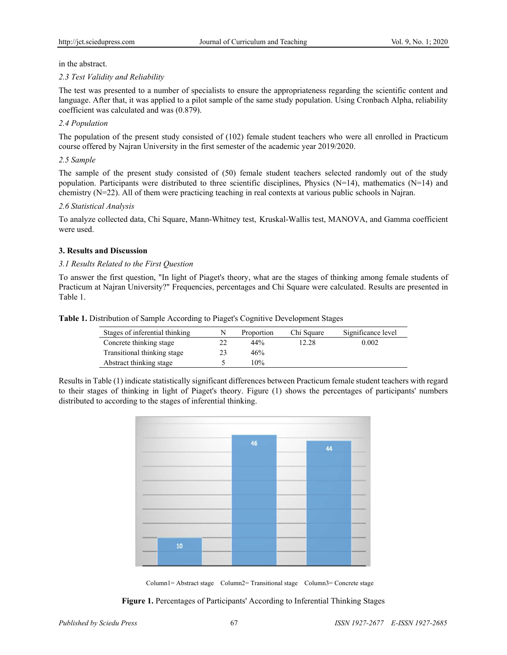in the abstract.

## *2.3 Test Validity and Reliability*

The test was presented to a number of specialists to ensure the appropriateness regarding the scientific content and language. After that, it was applied to a pilot sample of the same study population. Using Cronbach Alpha, reliability coefficient was calculated and was (0.879).

## *2.4 Population*

The population of the present study consisted of (102) female student teachers who were all enrolled in Practicum course offered by Najran University in the first semester of the academic year 2019/2020.

### *2.5 Sample*

The sample of the present study consisted of (50) female student teachers selected randomly out of the study population. Participants were distributed to three scientific disciplines, Physics (N=14), mathematics (N=14) and chemistry (N=22). All of them were practicing teaching in real contexts at various public schools in Najran.

#### *2.6 Statistical Analysis*

To analyze collected data, Chi Square, Mann-Whitney test, Kruskal-Wallis test, MANOVA, and Gamma coefficient were used.

#### **3. Results and Discussion**

#### *3.1 Results Related to the First Question*

To answer the first question, "In light of Piaget's theory, what are the stages of thinking among female students of Practicum at Najran University?" Frequencies, percentages and Chi Square were calculated. Results are presented in Table 1.

| Stages of inferential thinking |    | Proportion | Chi Square | Significance level |
|--------------------------------|----|------------|------------|--------------------|
| Concrete thinking stage        |    | 44%        | 12.28      | 0.002              |
| Transitional thinking stage    | 23 | 46%        |            |                    |
| Abstract thinking stage        |    | 10%        |            |                    |

**Table 1.** Distribution of Sample According to Piaget's Cognitive Development Stages

Results in Table (1) indicate statistically significant differences between Practicum female student teachers with regard to their stages of thinking in light of Piaget's theory. Figure (1) shows the percentages of participants' numbers distributed to according to the stages of inferential thinking.



Column1= Abstract stage Column2= Transitional stage Column3= Concrete stage

**Figure 1.** Percentages of Participants' According to Inferential Thinking Stages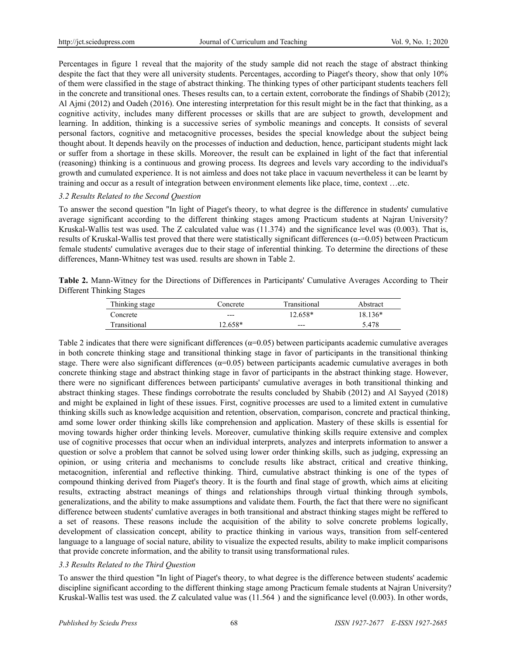Percentages in figure 1 reveal that the majority of the study sample did not reach the stage of abstract thinking despite the fact that they were all university students. Percentages, according to Piaget's theory, show that only 10% of them were classified in the stage of abstract thinking. The thinking types of other participant students teachers fell in the concrete and transitional ones. Theses results can, to a certain extent, corroborate the findings of Shabib (2012); Al Ajmi (2012) and Oadeh (2016). One interesting interpretation for this result might be in the fact that thinking, as a cognitive activity, includes many different processes or skills that are are subject to growth, development and learning. In addition, thinking is a successive series of symbolic meanings and concepts. It consists of several personal factors, cognitive and metacognitive processes, besides the special knowledge about the subject being thought about. It depends heavily on the processes of induction and deduction, hence, participant students might lack or suffer from a shortage in these skills. Moreover, the result can be explained in light of the fact that inferential (reasoning) thinking is a continuous and growing process. Its degrees and levels vary according to the individual's growth and cumulated experience. It is not aimless and does not take place in vacuum nevertheless it can be learnt by training and occur as a result of integration between environment elements like place, time, context …etc.

#### *3.2 Results Related to the Second Question*

To answer the second question "In light of Piaget's theory, to what degree is the difference in students' cumulative average significant according to the different thinking stages among Practicum students at Najran University? Kruskal-Wallis test was used. The Z calculated value was  $(11.374)$  and the significance level was  $(0.003)$ . That is, results of Kruskal-Wallis test proved that there were statistically significant differences (α-=0.05) between Practicum female students' cumulative averages due to their stage of inferential thinking. To determine the directions of these differences, Mann-Whitney test was used. results are shown in Table 2.

| Table 2. Mann-Witney for the Directions of Differences in Participants' Cumulative Averages According to Their |  |  |  |  |
|----------------------------------------------------------------------------------------------------------------|--|--|--|--|
| Different Thinking Stages                                                                                      |  |  |  |  |

| Thinking stage | Concrete | Transitional | Abstract  |
|----------------|----------|--------------|-----------|
| Concrete       | ---      | 12.658*      | $18.136*$ |
| Transitional   | 12.658*  | $---$        | 5.478     |

Table 2 indicates that there were significant differences ( $\alpha$ =0.05) between participants academic cumulative averages in both concrete thinking stage and transitional thinking stage in favor of participants in the transitional thinking stage. There were also significant differences ( $\alpha$ =0.05) between participants academic cumulative averages in both concrete thinking stage and abstract thinking stage in favor of participants in the abstract thinking stage. However, there were no significant differences between participants' cumulative averages in both transitional thinking and abstract thinking stages. These findings corrobotrate the results concluded by Shabib (2012) and Al Sayyed (2018) and might be explained in light of these issues. First, cognitive processes are used to a limited extent in cumulative thinking skills such as knowledge acquisition and retention, observation, comparison, concrete and practical thinking, amd some lower order thinking skills like comprehension and application. Mastery of these skills is essential for moving towards higher order thinking levels. Moreover, cumulative thinking skills require extensive and complex use of cognitive processes that occur when an individual interprets, analyzes and interprets information to answer a question or solve a problem that cannot be solved using lower order thinking skills, such as judging, expressing an opinion, or using criteria and mechanisms to conclude results like abstract, critical and creative thinking, metacognition, inferential and reflective thinking. Third, cumulative abstract thinking is one of the types of compound thinking derived from Piaget's theory. It is the fourth and final stage of growth, which aims at eliciting results, extracting abstract meanings of things and relationships through virtual thinking through symbols, generalizations, and the ability to make assumptions and validate them. Fourth, the fact that there were no significant difference between students' cumlative averages in both transitional and abstract thinking stages might be reffered to a set of reasons. These reasons include the acquisition of the ability to solve concrete problems logically, development of classication concept, ability to practice thinking in various ways, transition from self-centered language to a language of social nature, ability to visualize the expected results, ability to make implicit comparisons that provide concrete information, and the ability to transit using transformational rules.

## *3.3 Results Related to the Third Question*

To answer the third question "In light of Piaget's theory, to what degree is the difference between students' academic discipline significant according to the different thinking stage among Practicum female students at Najran University? Kruskal-Wallis test was used. the Z calculated value was  $(11.564)$  and the significance level  $(0.003)$ . In other words,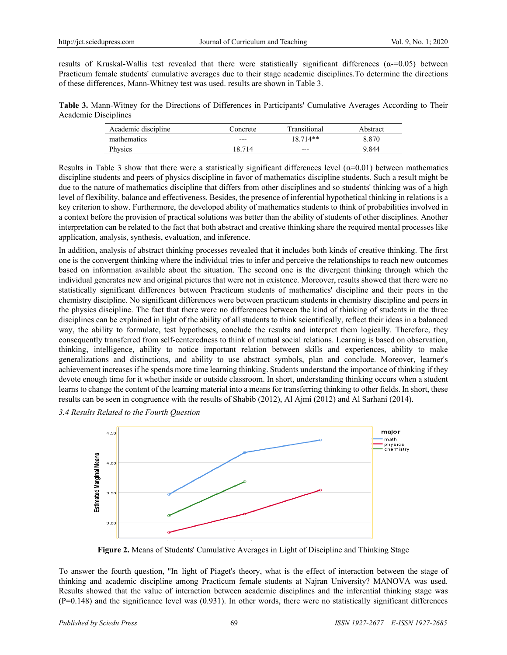results of Kruskal-Wallis test revealed that there were statistically significant differences ( $\alpha$ =0.05) between Practicum female students' cumulative averages due to their stage academic disciplines.To determine the directions of these differences, Mann-Whitney test was used. results are shown in Table 3.

**Table 3.** Mann-Witney for the Directions of Differences in Participants' Cumulative Averages According to Their Academic Disciplines

| Academic discipline | Concrete | Transitional | Abstract |
|---------------------|----------|--------------|----------|
| mathematics         | $---$    | $18.714**$   | 8.870    |
| Physics             | 18.714   | $---$        | 9.844    |

Results in Table 3 show that there were a statistically significant differences level  $(\alpha=0.01)$  between mathematics discipline students and peers of physics discipline in favor of mathematics discipline students. Such a result might be due to the nature of mathematics discipline that differs from other disciplines and so students' thinking was of a high level of flexibility, balance and effectiveness. Besides, the presence of inferential hypothetical thinking in relations is a key criterion to show. Furthermore, the developed ability of mathematics students to think of probabilities involved in a context before the provision of practical solutions was better than the ability of students of other disciplines. Another interpretation can be related to the fact that both abstract and creative thinking share the required mental processes like application, analysis, synthesis, evaluation, and inference.

In addition, analysis of abstract thinking processes revealed that it includes both kinds of creative thinking. The first one is the convergent thinking where the individual tries to infer and perceive the relationships to reach new outcomes based on information available about the situation. The second one is the divergent thinking through which the individual generates new and original pictures that were not in existence. Moreover, results showed that there were no statistically significant differences between Practicum students of mathematics' discipline and their peers in the chemistry discipline. No significant differences were between practicum students in chemistry discipline and peers in the physics discipline. The fact that there were no differences between the kind of thinking of students in the three disciplines can be explained in light of the ability of all students to think scientifically, reflect their ideas in a balanced way, the ability to formulate, test hypotheses, conclude the results and interpret them logically. Therefore, they consequently transferred from self-centeredness to think of mutual social relations. Learning is based on observation, thinking, intelligence, ability to notice important relation between skills and experiences, ability to make generalizations and distinctions, and ability to use abstract symbols, plan and conclude. Moreover, learner's achievement increases if he spends more time learning thinking. Students understand the importance of thinking if they devote enough time for it whether inside or outside classroom. In short, understanding thinking occurs when a student learns to change the content of the learning material into a means for transferring thinking to other fields. In short, these results can be seen in congruence with the results of Shabib (2012), Al Ajmi (2012) and Al Sarhani (2014).

*3.4 Results Related to the Fourth Question*



**Figure 2.** Means of Students' Cumulative Averages in Light of Discipline and Thinking Stage

To answer the fourth question, "In light of Piaget's theory, what is the effect of interaction between the stage of thinking and academic discipline among Practicum female students at Najran University? MANOVA was used. Results showed that the value of interaction between academic disciplines and the inferential thinking stage was  $(P=0.148)$  and the significance level was  $(0.931)$ . In other words, there were no statistically significant differences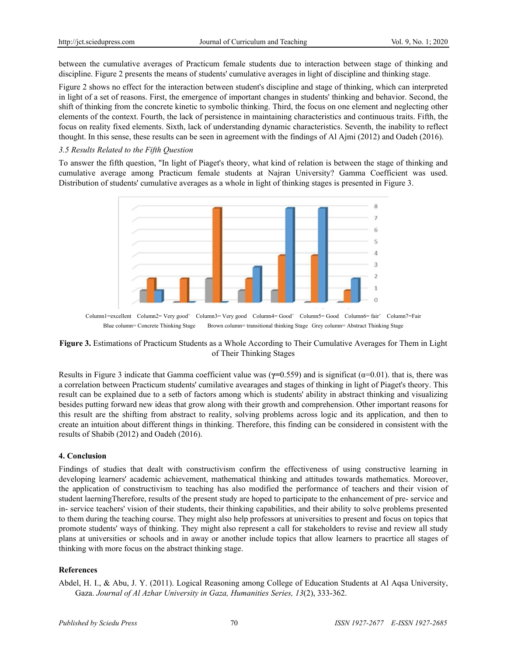between the cumulative averages of Practicum female students due to interaction between stage of thinking and discipline. Figure 2 presents the means of students' cumulative averages in light of discipline and thinking stage.

Figure 2 shows no effect for the interaction between student's discipline and stage of thinking, which can interpreted in light of a set of reasons. First, the emergence of important changes in students' thinking and behavior. Second, the shift of thinking from the concrete kinetic to symbolic thinking. Third, the focus on one element and neglecting other elements of the context. Fourth, the lack of persistence in maintaining characteristics and continuous traits. Fifth, the focus on reality fixed elements. Sixth, lack of understanding dynamic characteristics. Seventh, the inability to reflect thought. In this sense, these results can be seen in agreement with the findings of Al Ajmi (2012) and Oadeh (2016).

#### *3.5 Results Related to the Fifth Question*

To answer the fifth question, "In light of Piaget's theory, what kind of relation is between the stage of thinking and cumulative average among Practicum female students at Najran University? Gamma Coefficient was used. Distribution of students' cumulative averages as a whole in light of thinking stages is presented in Figure 3.



Column1=excellent Column2= Very good<sup>+</sup> Column3= Very good Column4= Good<sup>+</sup> Column5= Good Column6= fair<sup>+</sup> Column7=Fair Blue column= Concrete Thinking Stage Brown column= transitional thinking Stage Grey column= Abstract Thinking Stage

## **Figure 3.** Estimations of Practicum Students as a Whole According to Their Cumulative Averages for Them in Light of Their Thinking Stages

Results in Figure 3 indicate that Gamma coefficient value was (**γ=**0.559) and is significat (α=0.01). that is, there was a correlation between Practicum students' cumilative avearages and stages of thinking in light of Piaget's theory. This result can be explained due to a setb of factors among which is students' ability in abstract thinking and visualizing besides putting forward new ideas that grow along with their growth and comprehension. Other important reasons for this result are the shifting from abstract to reality, solving problems across logic and its application, and then to create an intuition about different things in thinking. Therefore, this finding can be considered in consistent with the results of Shabib (2012) and Oadeh (2016).

#### **4. Conclusion**

Findings of studies that dealt with constructivism confirm the effectiveness of using constructive learning in developing learners' academic achievement, mathematical thinking and attitudes towards mathematics. Moreover, the application of constructivism to teaching has also modified the performance of teachers and their vision of student laerningTherefore, results of the present study are hoped to participate to the enhancement of pre- service and in- service teachers' vision of their students, their thinking capabilities, and their ability to solve problems presented to them during the teaching course. They might also help professors at universities to present and focus on topics that promote students' ways of thinking. They might also represent a call for stakeholders to revise and review all study plans at universities or schools and in away or another include topics that allow learners to pracrtice all stages of thinking with more focus on the abstract thinking stage.

#### **References**

Abdel, H. I., & Abu, J. Y. (2011). Logical Reasoning among College of Education Students at Al Aqsa University, Gaza. *Journal of Al Azhar University in Gaza, Humanities Series, 13*(2), 333-362.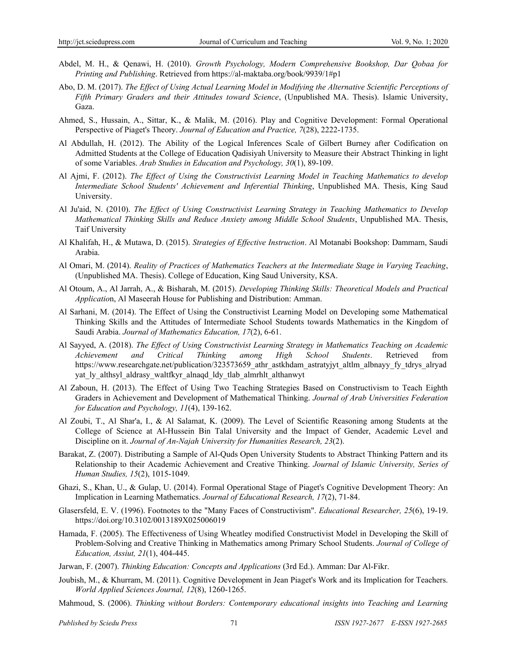- Abdel, M. H., & Qenawi, H. (2010). *Growth Psychology, Modern Comprehensive Bookshop, Dar Qobaa for Printing and Publishing*. Retrieved from https://al-maktaba.org/book/9939/1#p1
- Abo, D. M. (2017). *The Effect of Using Actual Learning Model in Modifying the Alternative Scientific Perceptions of Fifth Primary Graders and their Attitudes toward Science*, (Unpublished MA. Thesis). Islamic University, Gaza.
- Ahmed, S., Hussain, A., Sittar, K., & Malik, M. (2016). Play and Cognitive Development: Formal Operational Perspective of Piaget's Theory. *Journal of Education and Practice, 7*(28), 2222-1735.
- Al Abdullah, H. (2012). The Ability of the Logical Inferences Scale of Gilbert Burney after Codification on Admitted Students at the College of Education Qadisiyah University to Measure their Abstract Thinking in light of some Variables. *Arab Studies in Education and Psychology, 30*(1), 89-109.
- Al Ajmi, F. (2012). *The Effect of Using the Constructivist Learning Model in Teaching Mathematics to develop Intermediate School Students' Achievement and Inferential Thinking*, Unpublished MA. Thesis, King Saud University.
- Al Ju'aid, N. (2010). *The Effect of Using Constructivist Learning Strategy in Teaching Mathematics to Develop Mathematical Thinking Skills and Reduce Anxiety among Middle School Students*, Unpublished MA. Thesis, Taif University
- Al Khalifah, H., & Mutawa, D. (2015). *Strategies of Effective Instruction*. Al Motanabi Bookshop: Dammam, Saudi Arabia.
- Al Omari, M. (2014). *Reality of Practices of Mathematics Teachers at the Intermediate Stage in Varying Teaching*, (Unpublished MA. Thesis). College of Education, King Saud University, KSA.
- Al Otoum, A., Al Jarrah, A., & Bisharah, M. (2015). *Developing Thinking Skills: Theoretical Models and Practical Applicatio*n, Al Maseerah House for Publishing and Distribution: Amman.
- Al Sarhani, M. (2014). The Effect of Using the Constructivist Learning Model on Developing some Mathematical Thinking Skills and the Attitudes of Intermediate School Students towards Mathematics in the Kingdom of Saudi Arabia. *Journal of Mathematics Education, 17*(2), 6-61.
- Al Sayyed, A. (2018). *The Effect of Using Constructivist Learning Strategy in Mathematics Teaching on Academic Achievement and Critical Thinking among High School Students*. Retrieved from https://www.researchgate.net/publication/323573659\_athr\_astkhdam\_astratyjyt\_altlm\_albnayy\_fy\_tdrys\_alryad yat ly althsyl aldrasy waltfkyr alnaqd ldy tlab almrhlt althanwyt
- Al Zaboun, H. (2013). The Effect of Using Two Teaching Strategies Based on Constructivism to Teach Eighth Graders in Achievement and Development of Mathematical Thinking. *Journal of Arab Universities Federation for Education and Psychology, 11*(4), 139-162.
- Al Zoubi, T., Al Shar'a, I., & Al Salamat, K. (2009). The Level of Scientific Reasoning among Students at the College of Science at Al-Hussein Bin Talal University and the Impact of Gender, Academic Level and Discipline on it. *Journal of An-Najah University for Humanities Research, 23*(2).
- Barakat, Z. (2007). Distributing a Sample of Al-Quds Open University Students to Abstract Thinking Pattern and its Relationship to their Academic Achievement and Creative Thinking. *Journal of Islamic University, Series of Human Studies, 15*(2), 1015-1049 .
- Ghazi, S., Khan, U., & Gulap, U. (2014). Formal Operational Stage of Piaget's Cognitive Development Theory: An Implication in Learning Mathematics. *Journal of Educational Research, 17*(2), 71-84.
- Glasersfeld, E. V. (1996). Footnotes to the "Many Faces of Constructivism". *Educational Researcher, 25*(6), 19-19. https://doi.org/10.3102/0013189X025006019
- Hamada, F. (2005). The Effectiveness of Using Wheatley modified Constructivist Model in Developing the Skill of Problem-Solving and Creative Thinking in Mathematics among Primary School Students. *Journal of College of Education, Assiut, 21*(1), 404-445.
- Jarwan, F. (2007). *Thinking Education: Concepts and Applications* (3rd Ed.). Amman: Dar Al-Fikr.
- Joubish, M., & Khurram, M. (2011). Cognitive Development in Jean Piaget's Work and its Implication for Teachers. *World Applied Sciences Journal, 12*(8), 1260-1265 .
- Mahmoud, S. (2006). *Thinking without Borders: Contemporary educational insights into Teaching and Learning*